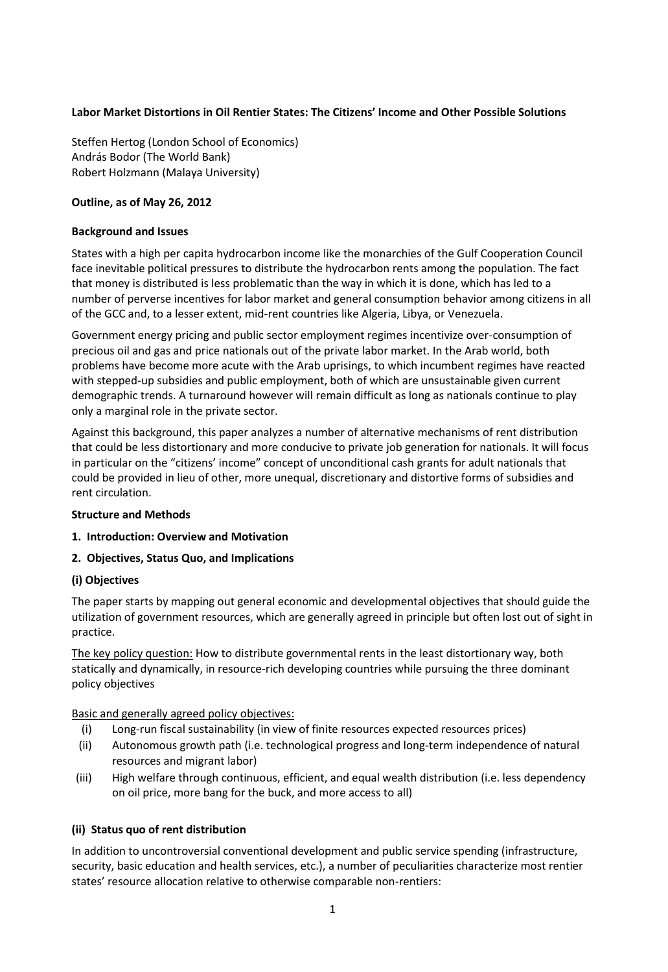### **Labor Market Distortions in Oil Rentier States: The Citizens' Income and Other Possible Solutions**

Steffen Hertog (London School of Economics) András Bodor (The World Bank) Robert Holzmann (Malaya University)

#### **Outline, as of May 26, 2012**

#### **Background and Issues**

States with a high per capita hydrocarbon income like the monarchies of the Gulf Cooperation Council face inevitable political pressures to distribute the hydrocarbon rents among the population. The fact that money is distributed is less problematic than the way in which it is done, which has led to a number of perverse incentives for labor market and general consumption behavior among citizens in all of the GCC and, to a lesser extent, mid-rent countries like Algeria, Libya, or Venezuela.

Government energy pricing and public sector employment regimes incentivize over-consumption of precious oil and gas and price nationals out of the private labor market. In the Arab world, both problems have become more acute with the Arab uprisings, to which incumbent regimes have reacted with stepped-up subsidies and public employment, both of which are unsustainable given current demographic trends. A turnaround however will remain difficult as long as nationals continue to play only a marginal role in the private sector.

Against this background, this paper analyzes a number of alternative mechanisms of rent distribution that could be less distortionary and more conducive to private job generation for nationals. It will focus in particular on the "citizens' income" concept of unconditional cash grants for adult nationals that could be provided in lieu of other, more unequal, discretionary and distortive forms of subsidies and rent circulation.

#### **Structure and Methods**

- **1. Introduction: Overview and Motivation**
- **2. Objectives, Status Quo, and Implications**

#### **(i) Objectives**

The paper starts by mapping out general economic and developmental objectives that should guide the utilization of government resources, which are generally agreed in principle but often lost out of sight in practice.

The key policy question: How to distribute governmental rents in the least distortionary way, both statically and dynamically, in resource-rich developing countries while pursuing the three dominant policy objectives

Basic and generally agreed policy objectives:

- (i) Long-run fiscal sustainability (in view of finite resources expected resources prices)
- (ii) Autonomous growth path (i.e. technological progress and long-term independence of natural resources and migrant labor)
- (iii) High welfare through continuous, efficient, and equal wealth distribution (i.e. less dependency on oil price, more bang for the buck, and more access to all)

#### **(ii) Status quo of rent distribution**

In addition to uncontroversial conventional development and public service spending (infrastructure, security, basic education and health services, etc.), a number of peculiarities characterize most rentier states' resource allocation relative to otherwise comparable non-rentiers: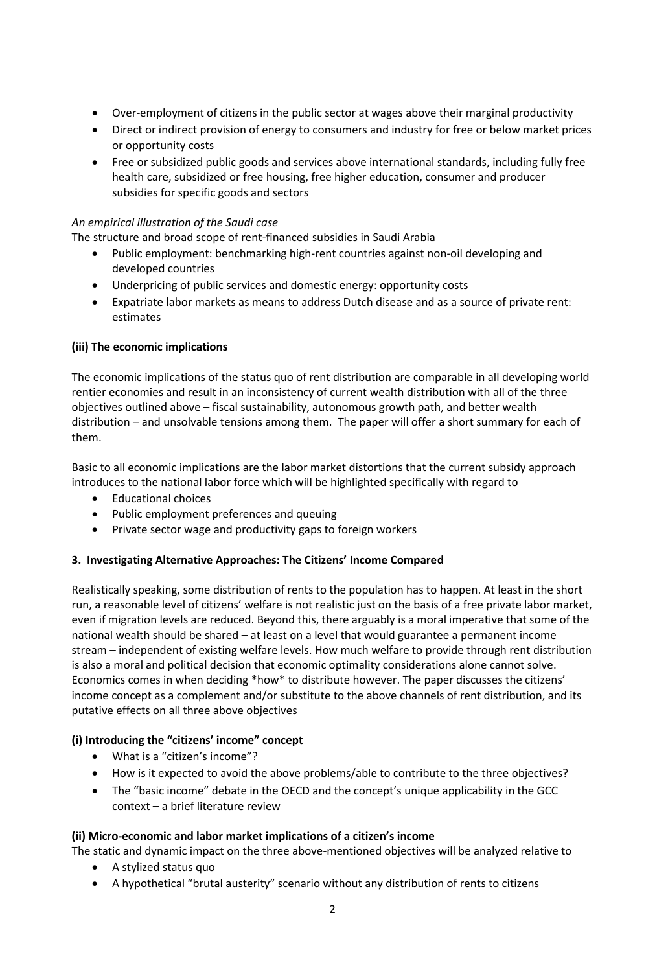- Over-employment of citizens in the public sector at wages above their marginal productivity
- Direct or indirect provision of energy to consumers and industry for free or below market prices or opportunity costs
- Free or subsidized public goods and services above international standards, including fully free health care, subsidized or free housing, free higher education, consumer and producer subsidies for specific goods and sectors

### *An empirical illustration of the Saudi case*

The structure and broad scope of rent-financed subsidies in Saudi Arabia

- Public employment: benchmarking high-rent countries against non-oil developing and developed countries
- Underpricing of public services and domestic energy: opportunity costs
- Expatriate labor markets as means to address Dutch disease and as a source of private rent: estimates

### **(iii) The economic implications**

The economic implications of the status quo of rent distribution are comparable in all developing world rentier economies and result in an inconsistency of current wealth distribution with all of the three objectives outlined above – fiscal sustainability, autonomous growth path, and better wealth distribution – and unsolvable tensions among them. The paper will offer a short summary for each of them.

Basic to all economic implications are the labor market distortions that the current subsidy approach introduces to the national labor force which will be highlighted specifically with regard to

- Educational choices
- Public employment preferences and queuing
- Private sector wage and productivity gaps to foreign workers

# **3. Investigating Alternative Approaches: The Citizens' Income Compared**

Realistically speaking, some distribution of rents to the population has to happen. At least in the short run, a reasonable level of citizens' welfare is not realistic just on the basis of a free private labor market, even if migration levels are reduced. Beyond this, there arguably is a moral imperative that some of the national wealth should be shared – at least on a level that would guarantee a permanent income stream – independent of existing welfare levels. How much welfare to provide through rent distribution is also a moral and political decision that economic optimality considerations alone cannot solve. Economics comes in when deciding \*how\* to distribute however. The paper discusses the citizens' income concept as a complement and/or substitute to the above channels of rent distribution, and its putative effects on all three above objectives

# **(i) Introducing the "citizens' income" concept**

- What is a "citizen's income"?
- How is it expected to avoid the above problems/able to contribute to the three objectives?
- The "basic income" debate in the OECD and the concept's unique applicability in the GCC context – a brief literature review

#### **(ii) Micro-economic and labor market implications of a citizen's income**

The static and dynamic impact on the three above-mentioned objectives will be analyzed relative to

- A stylized status quo
- A hypothetical "brutal austerity" scenario without any distribution of rents to citizens